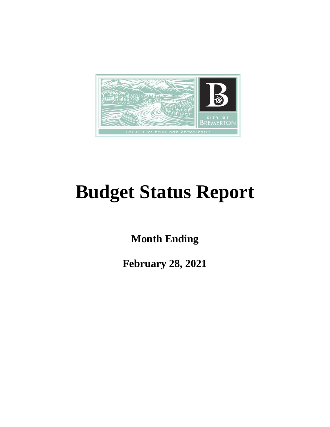

# **Budget Status Report**

**Month Ending**

**February 28, 2021**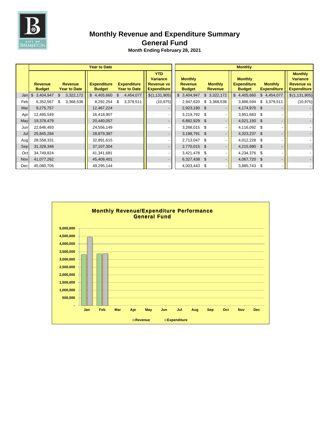

## **Monthly Revenue and Expenditure Summary**

#### **General Fund**

|     |                                 |                                       | <b>Year to Date</b>                 |                                           | <b>Monthly</b>                                                           |                                                   |                                  |                                                       |                                      |                                                                              |  |
|-----|---------------------------------|---------------------------------------|-------------------------------------|-------------------------------------------|--------------------------------------------------------------------------|---------------------------------------------------|----------------------------------|-------------------------------------------------------|--------------------------------------|------------------------------------------------------------------------------|--|
|     | <b>Revenue</b><br><b>Budget</b> | <b>Revenue</b><br><b>Year to Date</b> | <b>Expenditure</b><br><b>Budget</b> | <b>Expenditure</b><br><b>Year to Date</b> | <b>YTD</b><br><b>Variance</b><br><b>Revenue vs</b><br><b>Expenditure</b> | <b>Monthly</b><br><b>Revenue</b><br><b>Budget</b> | <b>Monthly</b><br><b>Revenue</b> | <b>Monthly</b><br><b>Expenditure</b><br><b>Budget</b> | <b>Monthly</b><br><b>Expenditure</b> | <b>Monthly</b><br><b>Variance</b><br><b>Revenue vs</b><br><b>Expenditure</b> |  |
| Jan | \$3,404,947                     | 3,322,172<br>\$                       | \$4,405,660                         | 4,454,077<br>\$                           | \$(1, 131, 905)                                                          | \$3,404,947                                       | \$3,322,172                      | \$4,405,660                                           | \$4,454,077                          | \$(1,131,905)                                                                |  |
| Feb | 6,352,567                       | 3,368,536<br>\$                       | 8,292,254 \$                        | 3,379,511                                 | (10, 975)                                                                | 2,947,620                                         | \$ 3,368,536                     | 3,886,594                                             | \$3,379,511                          | (10, 975)                                                                    |  |
| Mar | 9,275,757                       |                                       | 12,467,224                          |                                           |                                                                          | 2,923,190 \$                                      |                                  | 4,174,970 \$                                          |                                      |                                                                              |  |
| Apr | 12,495,549                      |                                       | 16,418,907                          |                                           |                                                                          | 3,219,792 \$                                      |                                  | 3,951,683 \$                                          |                                      |                                                                              |  |
| May | 19,378,479                      |                                       | 20,440,057                          |                                           |                                                                          | 6,882,929 \$                                      |                                  | 4,021,150 \$                                          |                                      |                                                                              |  |
| Jun | 22,646,493                      |                                       | 24,556,149                          |                                           |                                                                          | 3,268,015 \$                                      |                                  | 4,116,092 \$                                          |                                      |                                                                              |  |
| Jul | 25,845,284                      |                                       | 28,879,387                          |                                           |                                                                          | 3,198,791 \$                                      |                                  | 4,323,237 \$                                          |                                      |                                                                              |  |
| Aug | 28,558,331                      |                                       | 32,891,615                          |                                           |                                                                          | 2,713,047 \$                                      |                                  | 4,012,228 \$                                          |                                      |                                                                              |  |
| Sep | 31,328,346                      |                                       | 37,107,304                          |                                           |                                                                          | 2,770,015 \$                                      |                                  | 4,215,690 \$                                          |                                      |                                                                              |  |
| Oct | 34,749,824                      |                                       | 41,341,681                          |                                           |                                                                          | 3,421,478 \$                                      |                                  | 4,234,376 \$                                          |                                      |                                                                              |  |
| Nov | 41,077,262                      |                                       | 45,409,401                          |                                           |                                                                          | 6,327,438 \$                                      |                                  | 4,067,720 \$                                          |                                      |                                                                              |  |
| Dec | 45,080,705                      |                                       | 49,295,144                          |                                           |                                                                          | 4,003,443 \$                                      |                                  | 3,885,743 \$                                          |                                      |                                                                              |  |

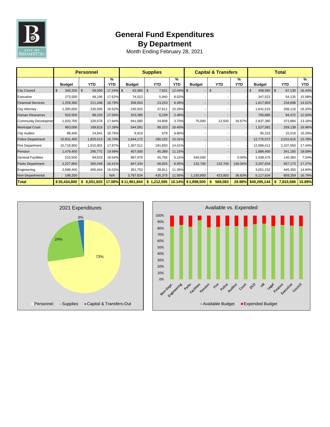

## **General Fund Expenditures By Department**

|                             | <b>Personnel</b> |                          |          | <b>Supplies</b> |                         |          | <b>Capital &amp; Transfers</b> |                |                 | <b>Total</b>  |                 |                       |
|-----------------------------|------------------|--------------------------|----------|-----------------|-------------------------|----------|--------------------------------|----------------|-----------------|---------------|-----------------|-----------------------|
|                             | <b>Budget</b>    | <b>YTD</b>               | %<br>YTD | <b>Budget</b>   | <b>YTD</b>              | %<br>YTD | <b>Budget</b>                  | <b>YTD</b>     | %<br><b>YTD</b> | <b>Budget</b> | <b>YTD</b>      | $\frac{9}{6}$<br>YTD. |
| <b>City Council</b>         | 345,200<br>\$    | $\mathfrak{F}$<br>59,500 | 17.24%   | 63,365<br>l \$  | $\mathfrak{s}$<br>7,631 | 12.04%   | \$                             | $\mathfrak{S}$ |                 | 408,565<br>\$ | \$<br>67,130    | 16.43%                |
| Executive                   | 273,500          | 48,195                   | 17.62%   | 74,022          | 5,940                   | 8.02%    |                                |                |                 | 347,522       | 54,135          | 15.58%                |
| <b>Financial Services</b>   | 1,259,300        | 211,446                  | 16.79%   | 358,603         | 23,253                  | 6.48%    |                                |                |                 | 1,617,903     | 234,698         | 14.51%                |
| <b>City Attorney</b>        | 1,395,600        | 230,505                  | 16.52%   | 245,915         | 37,611                  | 15.29%   |                                |                |                 | 1,641,515     | 268,116         | 16.33%                |
| <b>Human Resources</b>      | 502,500          | 88,233                   | 17.56%   | 253,385         | 6,239                   | 2.46%    |                                |                |                 | 755,885       | 94,472          | 12.50%                |
| <b>Community Developmer</b> | 1,820,700        | 326,576                  | 17.94%   | 941,680         | 34,808                  | 3.70%    | 75,000                         | 12,500         | 16.67%          | 2,837,380     | 373,884         | 13.18%                |
| <b>Municipal Court</b>      | 983,000          | 169,815                  | 17.28%   | 544,581         | 89,323                  | 16.40%   |                                |                |                 | 1,527,581     | 259,138         | 16.96%                |
| <b>City Auditor</b>         | 88,400           | 14,841                   | 16.79%   | 6,915           | 678                     | 9.80%    |                                |                |                 | 95,315        | 15,518          | 16.28%                |
| <b>Police Department</b>    | 10,931,400       | 1,825,513                | 16.70%   | 1,844,172       | 190,102                 | 10.31%   |                                |                |                 | 12,775,572    | 2,015,615       | 15.78%                |
| <b>Fire Department</b>      | 10,718,900       | 1,915,901                | 17.87%   | 1,367,511       | 191,650                 | 14.01%   |                                |                |                 | 12,086,411    | 2,107,550       | 17.44%                |
| Pension                     | 1,479,400        | 295,772                  | 19.99%   | 407,000         | 45,388                  | 11.15%   |                                |                |                 | 1,886,400     | 341,160         | 18.09%                |
| <b>General Facilities</b>   | 510,500          | 94,633                   | 18.54%   | 887,975         | 45,750                  | 5.15%    | 540,000                        |                | 0.00%           | 1,938,475     | 140,383         | 7.24%                 |
| <b>Parks Department</b>     | 2,227,800        | 365,548                  | 16.41%   | 847,334         | 58,925                  | 6.95%    | 132,700                        | 132,700        | 100.00%         | 3,207,834     | 557,173         | 17.37%                |
| Engineering                 | 2,699,400        | 405,444                  | 15.02%   | 351,752         | 39,911                  | 11.35%   |                                |                |                 | 3,051,152     | 445,355         | 14.60%                |
| Non-Departmental            | 199,200          |                          | N/A      | 3,767,634       | 435,375                 | 11.56%   | 1,150,800                      | 423,883        | 36.83%          | 5,117,634     | 859,259         | 16.79%                |
| <b>Total</b>                | \$35,434,800     | \$6,051,920              | 17.08%   | \$11,961,844    | \$1,212,585             |          | 10.14% \$1,898,500             | 569,083<br>s.  | 29.98%          | \$49,295,144  | \$<br>7,833,588 | 15.89%                |



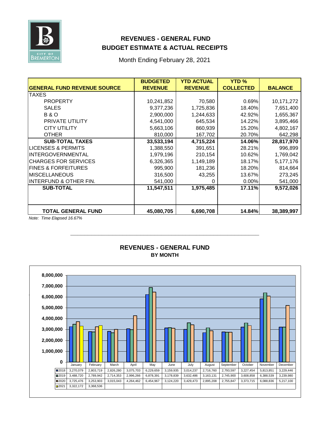

#### **REVENUES - GENERAL FUND BUDGET ESTIMATE & ACTUAL RECEIPTS**

Month Ending February 28, 2021

|                                    | <b>BUDGETED</b> | <b>YTD ACTUAL</b> | <b>YTD %</b>     |                |
|------------------------------------|-----------------|-------------------|------------------|----------------|
| <b>GENERAL FUND REVENUE SOURCE</b> | <b>REVENUE</b>  | <b>REVENUE</b>    | <b>COLLECTED</b> | <b>BALANCE</b> |
| <b>TAXES</b>                       |                 |                   |                  |                |
| <b>PROPERTY</b>                    | 10,241,852      | 70,580            | 0.69%            | 10,171,272     |
| <b>SALES</b>                       | 9,377,236       | 1,725,836         | 18.40%           | 7,651,400      |
| <b>B&amp;O</b>                     | 2,900,000       | 1,244,633         | 42.92%           | 1,655,367      |
| <b>PRIVATE UTILITY</b>             | 4,541,000       | 645,534           | 14.22%           | 3,895,466      |
| <b>CITY UTILITY</b>                | 5,663,106       | 860,939           | 15.20%           | 4,802,167      |
| <b>OTHER</b>                       | 810,000         | 167,702           | 20.70%           | 642,298        |
| <b>SUB-TOTAL TAXES</b>             | 33,533,194      | 4,715,224         | 14.06%           | 28,817,970     |
| LICENSES & PERMITS                 | 1,388,550       | 391,651           | 28.21%           | 996,899        |
| <b>INTERGOVERNMENTAL</b>           | 1,979,196       | 210,154           | 10.62%           | 1,769,042      |
| <b>CHARGES FOR SERVICES</b>        | 6,326,365       | 1,149,189         | 18.17%           | 5,177,176      |
| <b>FINES &amp; FORFEITURES</b>     | 995,900         | 181,236           | 18.20%           | 814,664        |
| <b>MISCELLANEOUS</b>               | 316,500         | 43,255            | 13.67%           | 273,245        |
| <b>INTERFUND &amp; OTHER FIN.</b>  | 541,000         |                   | 0.00%            | 541,000        |
| <b>SUB-TOTAL</b>                   | 11,547,511      | 1,975,485         | 17.11%           | 9,572,026      |
|                                    |                 |                   |                  |                |
| <b>TOTAL GENERAL FUND</b>          | 45,080,705      | 6,690,708         | 14.84%           | 38,389,997     |

*Note: Time Elapsed 16.67%*



#### **BY MONTH REVENUES - GENERAL FUND**

**\_\_\_\_\_\_\_\_\_\_\_\_\_\_\_\_\_\_\_\_\_\_\_\_\_\_\_\_\_\_\_\_\_\_\_\_\_\_\_\_\_\_\_\_\_\_\_\_\_\_\_\_\_\_**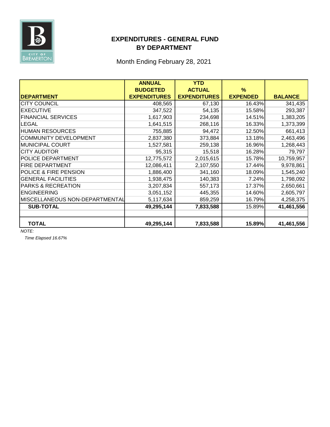

#### **EXPENDITURES - GENERAL FUND BY DEPARTMENT**

Month Ending February 28, 2021

|                                | <b>ANNUAL</b>       | <b>YTD</b>          |                 |                |
|--------------------------------|---------------------|---------------------|-----------------|----------------|
|                                | <b>BUDGETED</b>     | <b>ACTUAL</b>       | %               |                |
| <b>DEPARTMENT</b>              | <b>EXPENDITURES</b> | <b>EXPENDITURES</b> | <b>EXPENDED</b> | <b>BALANCE</b> |
| <b>CITY COUNCIL</b>            | 408,565             | 67,130              | 16.43%          | 341,435        |
| <b>EXECUTIVE</b>               | 347,522             | 54,135              | 15.58%          | 293,387        |
| <b>FINANCIAL SERVICES</b>      | 1,617,903           | 234,698             | 14.51%          | 1,383,205      |
| LEGAL                          | 1,641,515           | 268,116             | 16.33%          | 1,373,399      |
| <b>HUMAN RESOURCES</b>         | 755,885             | 94,472              | 12.50%          | 661,413        |
| <b>COMMUNITY DEVELOPMENT</b>   | 2,837,380           | 373,884             | 13.18%          | 2,463,496      |
| <b>MUNICIPAL COURT</b>         | 1,527,581           | 259,138             | 16.96%          | 1,268,443      |
| <b>CITY AUDITOR</b>            | 95,315              | 15,518              | 16.28%          | 79,797         |
| POLICE DEPARTMENT              | 12,775,572          | 2,015,615           | 15.78%          | 10,759,957     |
| FIRE DEPARTMENT                | 12,086,411          | 2,107,550           | 17.44%          | 9,978,861      |
| POLICE & FIRE PENSION          | 1,886,400           | 341,160             | 18.09%          | 1,545,240      |
| <b>GENERAL FACILITIES</b>      | 1,938,475           | 140,383             | 7.24%           | 1,798,092      |
| <b>PARKS &amp; RECREATION</b>  | 3,207,834           | 557,173             | 17.37%          | 2,650,661      |
| <b>ENGINEERING</b>             | 3,051,152           | 445,355             | 14.60%          | 2,605,797      |
| MISCELLANEOUS NON-DEPARTMENTAL | 5,117,634           | 859,259             | 16.79%          | 4,258,375      |
| <b>SUB-TOTAL</b>               | 49,295,144          | 7,833,588           | 15.89%          | 41,461,556     |
|                                |                     |                     |                 |                |
| <b>TOTAL</b>                   | 49,295,144          | 7,833,588           | 15.89%          | 41,461,556     |

*NOTE:* 

*Time Elapsed 16.67%*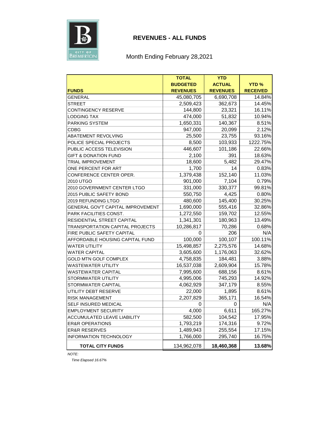

#### **REVENUES - ALL FUNDS**

#### Month Ending February 28,2021

|                                          | <b>TOTAL</b>    | <b>YTD</b>      |                 |
|------------------------------------------|-----------------|-----------------|-----------------|
|                                          | <b>BUDGETED</b> | <b>ACTUAL</b>   | <b>YTD%</b>     |
| <b>FUNDS</b>                             | <b>REVENUES</b> | <b>REVENUES</b> | <b>RECEIVED</b> |
| GENERAL                                  | 45,080,705      | 6,690,708       | 14.84%          |
| <b>STREET</b>                            | 2,509,423       | 362,673         | 14.45%          |
| CONTINGENCY RESERVE                      | 144,800         | 23,321          | 16.11%          |
| LODGING TAX                              | 474,000         | 51,832          | 10.94%          |
| PARKING SYSTEM                           | 1,650,331       | 140,367         | 8.51%           |
| CDBG                                     | 947,000         | 20,099          | 2.12%           |
| <b>ABATEMENT REVOLVING</b>               | 25,500          | 23,755          | 93.16%          |
| POLICE SPECIAL PROJECTS                  | 8,500           | 103,933         | 1222.75%        |
| PUBLIC ACCESS TELEVISION                 | 446,607         | 101,186         | 22.66%          |
| <b>GIFT &amp; DONATION FUND</b>          | 2,100           | 391             | 18.63%          |
| TRIAL IMPROVEMENT                        | 18,600          | 5,482           | 29.47%          |
| ONE PERCENT FOR ART                      | 1,700           | 14              | 0.83%           |
| CONFERENCE CENTER OPER.                  | 1,379,438       | 152,140         | 11.03%          |
| 2010 UTGO                                | 901,000         | 7,104           | 0.79%           |
| 2010 GOVERNMENT CENTER LTGO              | 331,000         | 330,377         | 99.81%          |
| 2015 PUBLIC SAFETY BOND                  | 550,750         | 4,425           | 0.80%           |
| 2019 REFUNDING LTGO                      | 480,600         | 145,400         | 30.25%          |
| <b>GENERAL GOV'T CAPITAL IMPROVEMENT</b> | 1,690,000       | 555,416         | 32.86%          |
| PARK FACILITIES CONST.                   | 1,272,550       | 159,702         | 12.55%          |
| RESIDENTIAL STREET CAPITAL               | 1,341,301       | 180,963         | 13.49%          |
| TRANSPORTATION CAPITAL PROJECTS          | 10,286,817      | 70,286          | 0.68%           |
| FIRE PUBLIC SAFETY CAPITAL               | 0               | 206             | N/A             |
| AFFORDABLE HOUSING CAPITAL FUND          | 100,000         | 100,107         | 100.11%         |
| <b>WATER UTILITY</b>                     | 15,498,857      | 2,275,576       | 14.68%          |
| <b>WATER CAPITAL</b>                     | 3,605,600       | 1,176,063       | 32.62%          |
| <b>GOLD MTN GOLF COMPLEX</b>             | 4,758,835       | 184,481         | 3.88%           |
| <b>WASTEWATER UTILITY</b>                | 16,537,038      | 2,609,904       | 15.78%          |
| WASTEWATER CAPITAL                       | 7,995,600       | 688,156         | 8.61%           |
| STORMWATER UTILITY                       | 4,995,006       | 745,293         | 14.92%          |
| <b>STORMWATER CAPITAL</b>                | 4,062,929       | 347,179         | 8.55%           |
| UTILITY DEBT RESERVE                     | 22,000          | 1,895           | 8.61%           |
| <b>RISK MANAGEMENT</b>                   | 2,207,829       | 365,171         | 16.54%          |
| SELF INSURED MEDICAL                     | 0               | 0               | N/A             |
| <b>EMPLOYMENT SECURITY</b>               | 4,000           | 6,611           | 165.27%         |
| <b>ACCUMULATED LEAVE LIABILITY</b>       | 582,500         | 104.542         | 17.95%          |
| <b>ER&amp;R OPERATIONS</b>               | 1,793,219       | 174,316         | 9.72%           |
| <b>ER&amp;R RESERVES</b>                 | 1,489,943       | 255,554         | 17.15%          |
| <b>INFORMATION TECHNOLOGY</b>            | 1,766,000       | 295,740         | 16.75%          |
| <b>TOTAL CITY FUNDS</b>                  | 134,962,078     | 18,460,368      | 13.68%          |

*NOTE:*

*Time Elapsed 16.67%*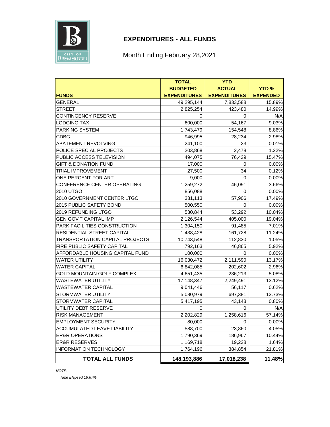

#### **EXPENDITURES - ALL FUNDS**

## Month Ending February 28,2021

|                                        | <b>TOTAL</b>        | <b>YTD</b>          |                 |
|----------------------------------------|---------------------|---------------------|-----------------|
|                                        | <b>BUDGETED</b>     | <b>ACTUAL</b>       | <b>YTD%</b>     |
| <b>FUNDS</b>                           | <b>EXPENDITURES</b> | <b>EXPENDITURES</b> | <b>EXPENDED</b> |
| <b>GENERAL</b>                         | 49,295,144          | 7,833,588           | 15.89%          |
| <b>STREET</b>                          | 2,825,254           | 423,480             | 14.99%          |
| <b>CONTINGENCY RESERVE</b>             | 0                   | 0                   | N/A             |
| <b>LODGING TAX</b>                     | 600,000             | 54,167              | 9.03%           |
| <b>PARKING SYSTEM</b>                  | 1,743,479           | 154,548             | 8.86%           |
| <b>CDBG</b>                            | 946,995             | 28,234              | 2.98%           |
| <b>ABATEMENT REVOLVING</b>             | 241,100             | 23                  | 0.01%           |
| POLICE SPECIAL PROJECTS                | 203,868             | 2,478               | 1.22%           |
| PUBLIC ACCESS TELEVISION               | 494,075             | 76,429              | 15.47%          |
| <b>GIFT &amp; DONATION FUND</b>        | 17,000              | 0                   | 0.00%           |
| <b>TRIAL IMPROVEMENT</b>               | 27,500              | 34                  | 0.12%           |
| ONE PERCENT FOR ART                    | 9,000               | $\Omega$            | 0.00%           |
| CONFERENCE CENTER OPERATING            | 1,259,272           | 46,091              | 3.66%           |
| 2010 UTGO                              | 856,088             | 0                   | 0.00%           |
| 2010 GOVERNMENT CENTER LTGO            | 331,113             | 57,906              | 17.49%          |
| 2015 PUBLIC SAFETY BOND                | 500,550             | 0                   | 0.00%           |
| 2019 REFUNDING LTGO                    | 530,844             | 53,292              | 10.04%          |
| <b>GEN GOV'T CAPITAL IMP</b>           | 2,126,544           | 405,000             | 19.04%          |
| PARK FACILITIES CONSTRUCTION           | 1,304,150           | 91,485              | 7.01%           |
| RESIDENTIAL STREET CAPITAL             | 1,438,428           | 161,728             | 11.24%          |
| <b>TRANSPORTATION CAPITAL PROJECTS</b> | 10,743,548          | 112,830             | 1.05%           |
| FIRE PUBLIC SAFETY CAPITAL             | 792,163             | 46,865              | 5.92%           |
| AFFORDABLE HOUSING CAPITAL FUND        | 100,000             | 0                   | 0.00%           |
| <b>WATER UTILITY</b>                   | 16,030,472          | 2,111,590           | 13.17%          |
| <b>WATER CAPITAL</b>                   | 6,842,085           | 202,602             | 2.96%           |
| <b>GOLD MOUNTAIN GOLF COMPLEX</b>      | 4,651,435           | 236,213             | 5.08%           |
| <b>WASTEWATER UTILITY</b>              | 17,148,347          | 2,249,491           | 13.12%          |
| <b>WASTEWATER CAPITAL</b>              | 9,041,446           | 56,117              | 0.62%           |
| STORMWATER UTILITY                     | 5,080,979           | 697,381             | 13.73%          |
| <b>STORMWATER CAPITAL</b>              | 5,417,195           | 43,143              | 0.80%           |
| UTILITY DEBT RESERVE                   | 0                   | 0                   | N/A             |
| <b>RISK MANAGEMENT</b>                 | 2,202,829           | 1,258,616           | 57.14%          |
| <b>EMPLOYMENT SECURITY</b>             | 80,000              | 0                   | $0.00\%$        |
| ACCUMULATED LEAVE LIABILITY            | 588,700             | 23,860              | 4.05%           |
| <b>ER&amp;R OPERATIONS</b>             | 1,790,369           | 186,967             | 10.44%          |
| <b>ER&amp;R RESERVES</b>               | 1,169,718           | 19,228              | 1.64%           |
| <b>INFORMATION TECHNOLOGY</b>          | 1,764,196           | 384,854             | 21.81%          |
| <b>TOTAL ALL FUNDS</b>                 | 148,193,886         | 17,018,238          | 11.48%          |

*Time Elapsed 16.67%*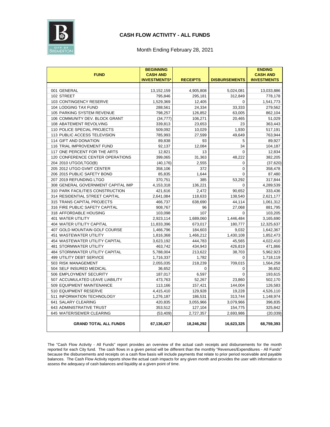

#### **CASH FLOW ACTIVITY - ALL FUNDS**

#### Month Ending February 28, 2021

|                                       | <b>BEGINNING</b>                       |                 |                      | <b>ENDING</b>                         |
|---------------------------------------|----------------------------------------|-----------------|----------------------|---------------------------------------|
| <b>FUND</b>                           | <b>CASH AND</b><br><b>INVESTMENTS'</b> | <b>RECEIPTS</b> | <b>DISBURSEMENTS</b> | <b>CASH AND</b><br><b>INVESTMENTS</b> |
|                                       |                                        |                 |                      |                                       |
| 001 GENERAL                           | 13,152,159                             | 4,905,808       | 5,024,081            | 13,033,886                            |
| 102 STREET                            | 795,846                                | 295,181         | 312,849              | 778,178                               |
| 103 CONTINGENCY RESERVE               | 1,529,369                              | 12,405          | $\mathbf 0$          | 1,541,773                             |
| 104 LODGING TAX FUND                  | 288,561                                | 24,334          | 33,333               | 279,562                               |
| 105 PARKING SYSTEM REVENUE            | 798,257                                | 126,852         | 63,005               | 862,104                               |
| 106 COMMUNITY DEV. BLOCK GRANT        | (34, 777)                              | 106,271         | 20,465               | 51,029                                |
| 108 ABATEMENT REVOLVING               | 339,813                                | 23,653          | 23                   | 363,443                               |
| 110 POLICE SPECIAL PROJECTS           | 509,092                                | 10,029          | 1,930                | 517,191                               |
| 113 PUBLIC ACCESS TELEVISION          | 785,993                                | 27,599          | 49,649               | 763,944                               |
| 114 GIFT AND DONATION                 | 89,838                                 | 93              | 5                    | 89,927                                |
| 116 TRIAL IMPROVEMENT FUND            | 92,137                                 | 12,084          | 34                   | 104,187                               |
| 117 ONE PERCENT FOR THE ARTS          | 12,821                                 | 13              | $\Omega$             | 12,834                                |
| 120 CONFERENCE CENTER OPERATIONS      | 399,065                                | 31,363          | 48,222               | 382,205                               |
| 204 2010 UTGO/LTGO(B)                 | (40, 176)                              | 2,555           | 0                    | (37, 620)                             |
| 205 2012 UTGO GVMT CENTER             | 358,106                                | 372             | $\mathbf 0$          | 358,478                               |
| 206 2015 PUBLIC SAFETY BOND           | 85,835                                 | 1,644           | $\mathbf 0$          | 87,480                                |
| 207 2019 REFUNDING LTGO               | 370,751                                | 385             | 53,292               | 317,844                               |
| 308 GENERAL GOVERNMENT CAPITAL IMP    | 4,153,318                              | 136,221         | $\mathbf 0$          | 4,289,539                             |
| 310 PARK FACILITIES CONSTRUCTION      | 421,616                                | 2,472           | 90,652               | 333,436                               |
| 314 RESIDENTIAL STREET CAPITAL        | 2,641,084                              | 118,633         | 138,540              | 2,621,177                             |
| 315 TRANS CAPITAL PROJECTS            | 466,737                                | 638,690         | 44,114               | 1,061,312                             |
| 316 FIRE PUBLIC SAFETY CAPITAL        | 908,767                                | 96              | 27,068               | 881,795                               |
| 318 AFFORDABLE HOUSING                | 103,098                                | 107             | 0                    | 103,205                               |
| 401 WATER UTILITY                     | 2,923,114                              | 1,689,060       | 1,446,484            | 3,165,690                             |
| 404 WATER UTILITY CAPITAL             | 11,833,396                             | 673,017         | 180,777              | 12,325,637                            |
| 407 GOLD MOUNTAIN GOLF COURSE         | 1,466,796                              | 184,603         | 9,032                | 1,642,367                             |
| 451 WASTEWATER UTILITY                | 1,816,368                              | 1,466,212       | 1,430,108            | 1,852,473                             |
| 454 WASTEWATER UTILITY CAPITAL        | 3,623,192                              | 444,783         | 45,565               | 4,022,410                             |
| 481 STORMWATER UTILITY                | 463.742                                | 434,943         | 426,819              | 471,866                               |
| <b>484 STORMWATER UTILITY CAPITAL</b> | 5,788,004                              | 213,622         | 38,703               | 5,962,923                             |
| <b>499 UTILITY DEBT SERVICE</b>       | 1,716,337                              | 1,782           | $\Omega$             | 1,718,119                             |
| 503 RISK MANAGEMENT                   | 2,055,035                              | 218,239         | 709,015              | 1,564,258                             |
| 504 SELF INSURED MEDICAL              | 36,652                                 | $\mathbf 0$     | $\mathbf 0$          | 36,652                                |
| 506 EMPLOYMENT SECURITY               | 187,017                                | 6,597           | $\mathbf 0$          | 193,615                               |
| 507 ACCUMULATED LEAVE LIABILITY       | 473,763                                | 52,267          | 23,860               | 502,170                               |
| 509 EQUIPMENT MAINTENANCE             | 113,166                                | 157,421         | 144,004              | 126,583                               |
| 510 EQUIPMENT RESERVE                 | 4,415,410                              | 129,928         | 19,228               | 4,526,110                             |
| 511 INFORMATION TECHNOLOGY            | 1,276,187                              | 186,531         | 313,744              | 1,148,974                             |
| 641 SALARY CLEARING                   | 420,835                                | 3,055,966       | 3,079,966            | 396,835                               |
| 643 ADMINISTRATIVE TRUST              | 353,512                                | 127,104         | 154,775              | 325,842                               |
| 645 WATER/SEWER CLEARING              | (53, 409)                              | 2,727,357       | 2,693,986            | (20, 039)                             |
| <b>GRAND TOTAL ALL FUNDS</b>          | 67,136,427                             | 18,246,292      | 16,623,325           | 68,759,393                            |

The "Cash Flow Activity - All Funds" report provides an overview of the actual cash receipts and disbursements for the month reported for each City fund. The cash flows in a given period will be different than the monthly "Revenues/Expenditures - All Funds" because the disbursements and receipts on a cash flow basis will include payments that relate to prior period receivable and payable balances. The Cash Flow Activity reports show the actual cash impacts for any given month and provides the user with information to assess the adequacy of cash balances and liquidity at a given point of time.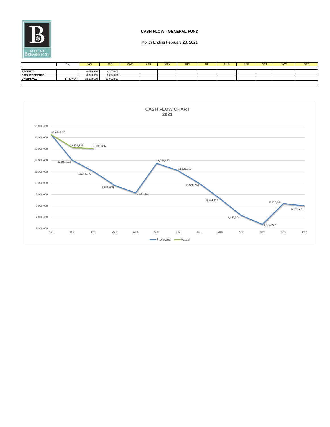

#### **CASH FLOW - GENERAL FUND**

|                      | Dec        | <b>JAN</b> | <b>FEB</b> | <b>MAR</b> | <b>APR</b> | MA) | <b>JUN</b> | JUL | <b>AUG</b> | <b>SEP</b> | OC <sub>1</sub> | <b>NOV</b> | <b>DEC</b> |
|----------------------|------------|------------|------------|------------|------------|-----|------------|-----|------------|------------|-----------------|------------|------------|
|                      |            |            |            |            |            |     |            |     |            |            |                 |            |            |
| <b>RECEIPTS</b>      |            | 4,878,326  | 4,905,808  |            |            |     |            |     |            |            |                 |            |            |
| <b>DISBURSEMENTS</b> |            | 6,023,815  | 5,024,081  |            |            |     |            |     |            |            |                 |            |            |
| <b>CASH/INVEST</b>   | 14,297,647 | 13.152.159 | 13,033,886 |            |            |     |            |     |            |            |                 |            |            |
|                      |            |            |            |            |            |     |            |     |            |            |                 |            |            |